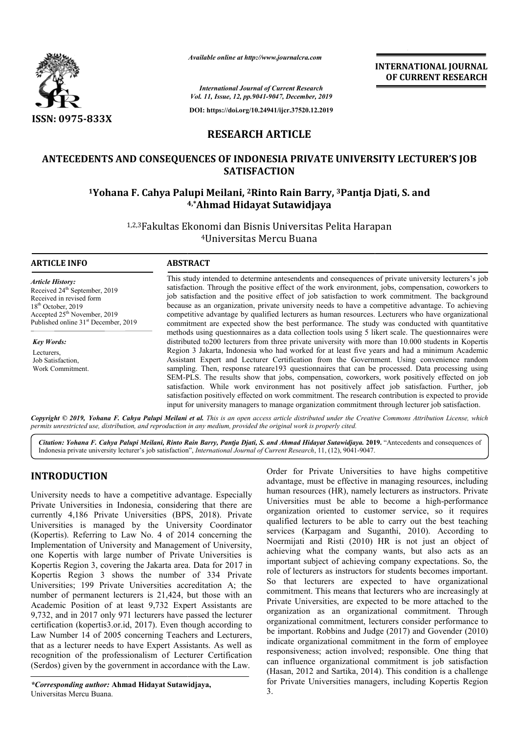

*Available online at http://www.journalcra.com*

**INTERNATIONAL JOURNAL OF CURRENT RESEARCH**

*International Journal of Current Research Vol. 11, Issue, 12, pp.9041-9047, December, 2019*

**DOI: https://doi.org/10.24941/ijcr.37520.12.2019**

# **RESEARCH ARTICLE**

## **ANTECEDENTS AND CONSEQUENCES OF INDONESIA PRIVATE UNIVERSITY LECTURER'S JOB SATISFACTION**

# **1Yohana F. Cahya Palupi Meilani, 2Rinto Rain Barry, 3Pantja Djati Djati, S. and 4 4,\*Ahmad Hidayat Sutawidjaya**

1,2,3Fakultas Ekonomi dan Bisnis Universitas Pelita Harapan 4Universitas Mercu Buana

| <b>ARTICLE INFO</b>                                                  | <b>ABSTRACT</b>                                                                                                                                                                                             |
|----------------------------------------------------------------------|-------------------------------------------------------------------------------------------------------------------------------------------------------------------------------------------------------------|
| <b>Article History:</b><br>Received 24 <sup>th</sup> September, 2019 | This study intended to determine antesendents and consequences of private university lecturers's job<br>satisfaction. Through the positive effect of the work environment, jobs, compensation, coworkers to |
| Received in revised form                                             | job satisfaction and the positive effect of job satisfaction to work commitment. The background                                                                                                             |
| $18th$ October, 2019                                                 | because as an organization, private university needs to have a competitive advantage. To achieving                                                                                                          |
| Accepted 25 <sup>th</sup> November, 2019                             | competitive advantage by qualified lecturers as human resources. Lecturers who have organizational                                                                                                          |
| Published online 31 <sup>st</sup> December, 2019                     | commitment are expected show the best performance. The study was conducted with quantitative                                                                                                                |
|                                                                      | methods using questionnaires as a data collection tools using 5 likert scale. The questionnaires were                                                                                                       |
| <b>Key Words:</b>                                                    | distributed to 200 lecturers from three private university with more than 10.000 students in Kopertis                                                                                                       |
| Lecturers,                                                           | Region 3 Jakarta, Indonesia who had worked for at least five years and had a minimum Academic                                                                                                               |
| Job Satisfaction,                                                    | Assistant Expert and Lecturer Certification from the Government. Using convenience random                                                                                                                   |
| Work Commitment.                                                     | sampling. Then, response rateare193 questionnaires that can be processed. Data processing using                                                                                                             |
|                                                                      | SEM-PLS. The results show that jobs, compensation, coworkers, work positively effected on job                                                                                                               |
|                                                                      | satisfaction. While work environment has not positively affect job satisfaction. Further, job                                                                                                               |
|                                                                      | satisfaction positively effected on work commitment. The research contribution is expected to provide                                                                                                       |
|                                                                      | input for university managers to manage organization commitment through lecturer job satisfaction.                                                                                                          |

Copyright © 2019, Yohana F. Cahya Palupi Meilani et al. This is an open access article distributed under the Creative Commons Attribution License, which permits unrestricted use, distribution, and reproduction in any medium, provided the original work is properly cited.

Citation: Yohana F. Cahya Palupi Meilani, Rinto Rain Barry, Pantja Djati, S. and Ahmad Hidayat Sutawidjaya. 2019. "Antecedents and consequences of Indonesia private university lecturer's job satisfaction", *International Journal of Current Research*, 11, (12), 9041-9047.

# **INTRODUCTION**

University needs to have a competitive advantage. Especially Private Universities in Indonesia, considering that there are currently 4,186 Private Universities (BPS, 2018). Private Universities is managed by the University Coordinator (Kopertis). Referring to Law No. 4 of 2014 concerning the Implementation of University and Management of University, one Kopertis with large number of Private Universities is Kopertis Region 3, covering the Jakarta area. Data for 2017 in Kopertis Region 3 shows the number of 334 Private Universities; 199 Private Universities accreditation A; the number of permanent lecturers is 21,424, but those with an Academic Position of at least 9,732 Expert Assistants are 9,732, and in 2017 only 971 lecturers have passed the lecturer certification (kopertis3.or.id, 2017). Even though according to Law Number 14 of 2005 concerning Teachers and Lecturers, that as a lecturer needs to have Expert Assistants. As well as recognition of the professionalism of Lecturer Certification (Serdos) given by the government in accordance with the Law. anent lecturers is 21<br>on of at least 9,73.<br>17 only 971 lecturers<br>sertis3.or.id, 2017). E<br>of 2005 concerning

Order for Private Universities to have highs competitive advantage, must be effective in managing resources, including human resources (HR), namely lecturers as instructors. Private Universities must be able to become a high-performance organization oriented to customer service, so it requires qualified lecturers to be able to carry out the best teaching services (Karpagam and Suganthi, 2010). According to Noermijati and Risti (2010) HR is not just an object of organization oriented to customer service, so it requires<br>qualified lecturers to be able to carry out the best teaching<br>services (Karpagam and Suganthi, 2010). According to<br>Noermijati and Risti (2010) HR is not just an obj important subject of achieving company expectations. So, the role of lecturers as instructors for students becomes important. So that lecturers are expected to have organizational commitment. This means that lecturers who are increasingly at Private Universities, are expected to be more attached to the organization as an organizational commitment. Through organizational commitment, lecturers consider performance to be important. Robbins and Judge (2017) and Govender (2010) indicate organizational commitment in the form of employee responsiveness; action involved; responsible. One thing that can influence organizational commitment is job satisfaction (Hasan, 2012 and Sartika, 2014). This condition is a challenge for Private Universities managers, including Kopertis Region 3. Order for Private Universities to have highs competitive advantage, must be effective in managing resources, including human resources (HR), namely lecturers as instructors. Private Universities must be able to become a hi important subject of achieving company expectations. So, the role of lecturers are expected to have organizational commitment. This means that lecturers who are increasingly at Private Universities, are expected to be more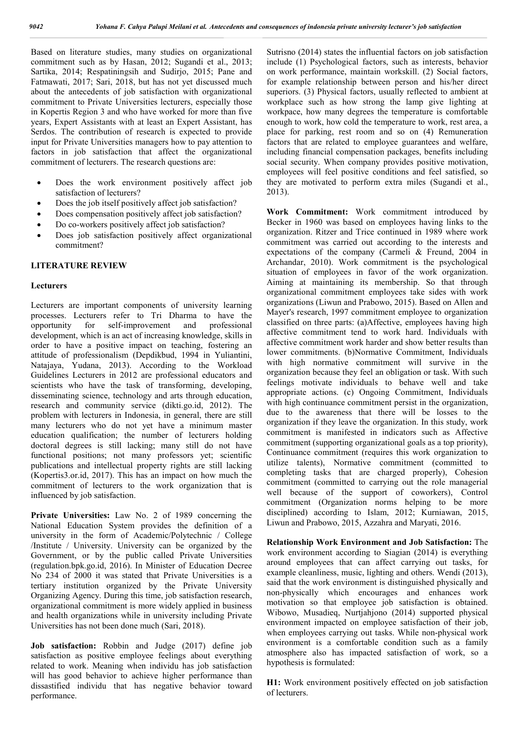Based on literature studies, many studies on organizational commitment such as by Hasan, 2012; Sugandi et al., 2013; Sartika, 2014; Respatiningsih and Sudirjo, 2015; Pane and Fatmawati, 2017; Sari, 2018, but has not yet discussed much about the antecedents of job satisfaction with organizational commitment to Private Universities lecturers, especially those in Kopertis Region 3 and who have worked for more than five years, Expert Assistants with at least an Expert Assistant, has Serdos. The contribution of research is expected to provide input for Private Universities managers how to pay attention to factors in job satisfaction that affect the organizational commitment of lecturers. The research questions are:

- Does the work environment positively affect job satisfaction of lecturers?
- Does the job itself positively affect job satisfaction?
- Does compensation positively affect job satisfaction?
- Do co-workers positively affect job satisfaction?
- Does job satisfaction positively affect organizational commitment?

### **LITERATURE REVIEW**

#### **Lecturers**

Lecturers are important components of university learning processes. Lecturers refer to Tri Dharma to have the opportunity for self-improvement and professional development, which is an act of increasing knowledge, skills in order to have a positive impact on teaching, fostering an attitude of professionalism (Depdikbud, 1994 in Yuliantini, Natajaya, Yudana, 2013). According to the Workload Guidelines Lecturers in 2012 are professional educators and scientists who have the task of transforming, developing, disseminating science, technology and arts through education, research and community service (dikti.go.id, 2012). The problem with lecturers in Indonesia, in general, there are still many lecturers who do not yet have a minimum master education qualification; the number of lecturers holding doctoral degrees is still lacking; many still do not have functional positions; not many professors yet; scientific publications and intellectual property rights are still lacking (Kopertis3.or.id, 2017). This has an impact on how much the commitment of lecturers to the work organization that is influenced by job satisfaction.

**Private Universities:** Law No. 2 of 1989 concerning the National Education System provides the definition of a university in the form of Academic/Polytechnic / College /Institute / University. University can be organized by the Government, or by the public called Private Universities (regulation.bpk.go.id, 2016). In Minister of Education Decree No 234 of 2000 it was stated that Private Universities is a tertiary institution organized by the Private University Organizing Agency. During this time, job satisfaction research, organizational commitment is more widely applied in business and health organizations while in university including Private Universities has not been done much (Sari, 2018).

**Job satisfaction:** Robbin and Judge (2017) define job satisfaction as positive employee feelings about everything related to work. Meaning when individu has job satisfaction will has good behavior to achieve higher performance than dissastified individu that has negative behavior toward performance.

Sutrisno (2014) states the influential factors on job satisfaction include (1) Psychological factors, such as interests, behavior on work performance, maintain workskill. (2) Social factors, for example relationship between person and his/her direct superiors. (3) Physical factors, usually reflected to ambient at workplace such as how strong the lamp give lighting at workpace, how many degrees the temperature is comfortable enough to work, how cold the temperature to work, rest area, a place for parking, rest room and so on (4) Remuneration factors that are related to employee guarantees and welfare, including financial compensation packages, benefits including social security. When company provides positive motivation, employees will feel positive conditions and feel satisfied, so they are motivated to perform extra miles (Sugandi et al., 2013).

**Work Commitment:** Work commitment introduced by Becker in 1960 was based on employees having links to the organization. Ritzer and Trice continued in 1989 where work commitment was carried out according to the interests and expectations of the company (Carmeli & Freund, 2004 in Archandar, 2010). Work commitment is the psychological situation of employees in favor of the work organization. Aiming at maintaining its membership. So that through organizational commitment employees take sides with work organizations (Liwun and Prabowo, 2015). Based on Allen and Mayer's research, 1997 commitment employee to organization classified on three parts: (a)Affective, employees having high affective commitment tend to work hard. Individuals with affective commitment work harder and show better results than lower commitments. (b)Normative Commitment, Individuals with high normative commitment will survive in the organization because they feel an obligation or task. With such feelings motivate individuals to behave well and take appropriate actions. (c) Ongoing Commitment, Individuals with high continuance commitment persist in the organization, due to the awareness that there will be losses to the organization if they leave the organization. In this study, work commitment is manifested in indicators such as Affective commitment (supporting organizational goals as a top priority), Continuance commitment (requires this work organization to utilize talents), Normative commitment (committed to completing tasks that are charged properly), Cohesion commitment (committed to carrying out the role managerial well because of the support of coworkers), Control commitment (Organization norms helping to be more disciplined) according to Islam, 2012; Kurniawan, 2015, Liwun and Prabowo, 2015, Azzahra and Maryati, 2016.

**Relationship Work Environment and Job Satisfaction:** The work environment according to Siagian (2014) is everything around employees that can affect carrying out tasks, for example cleanliness, music, lighting and others. Wendi (2013), said that the work environment is distinguished physically and non-physically which encourages and enhances work motivation so that employee job satisfaction is obtained. Wibowo, Musadieq, Nurtjahjono (2014) supported physical environment impacted on employee satisfaction of their job, when employees carrying out tasks. While non-physical work environment is a comfortable condition such as a family atmosphere also has impacted satisfaction of work, so a hypothesis is formulated:

**H1:** Work environment positively effected on job satisfaction of lecturers.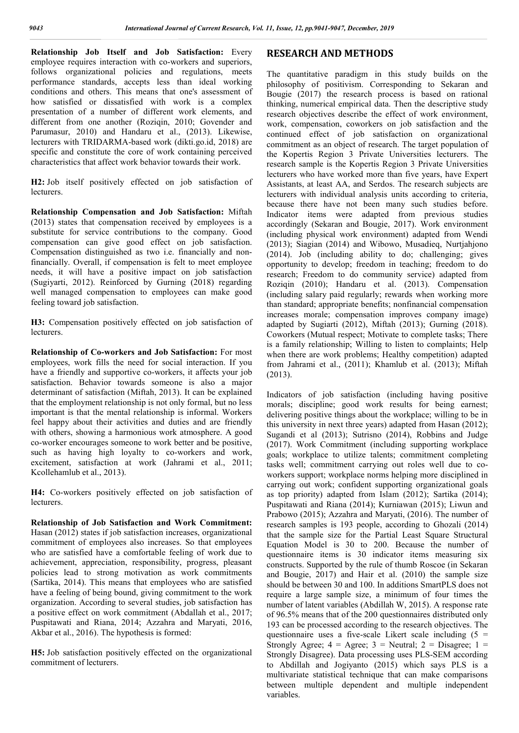**Relationship Job Itself and Job Satisfaction:** Every employee requires interaction with co-workers and superiors, follows organizational policies and regulations, meets performance standards, accepts less than ideal working conditions and others. This means that one's assessment of how satisfied or dissatisfied with work is a complex presentation of a number of different work elements, and different from one another (Roziqin, 2010; Govender and Parumasur, 2010) and Handaru et al., (2013). Likewise, lecturers with TRIDARMA-based work (dikti.go.id, 2018) are specific and constitute the core of work containing perceived characteristics that affect work behavior towards their work.

**H2:** Job itself positively effected on job satisfaction of lecturers.

**Relationship Compensation and Job Satisfaction:** Miftah (2013) states that compensation received by employees is a substitute for service contributions to the company. Good compensation can give good effect on job satisfaction. Compensation distinguished as two i.e. financially and nonfinancially. Overall, if compensation is felt to meet employee needs, it will have a positive impact on job satisfaction (Sugiyarti, 2012). Reinforced by Gurning (2018) regarding well managed compensation to employees can make good feeling toward job satisfaction.

**H3:** Compensation positively effected on job satisfaction of lecturers.

**Relationship of Co-workers and Job Satisfaction:** For most employees, work fills the need for social interaction. If you have a friendly and supportive co-workers, it affects your job satisfaction. Behavior towards someone is also a major determinant of satisfaction (Miftah, 2013). It can be explained that the employment relationship is not only formal, but no less important is that the mental relationship is informal. Workers feel happy about their activities and duties and are friendly with others, showing a harmonious work atmosphere. A good co-worker encourages someone to work better and be positive, such as having high loyalty to co-workers and work, excitement, satisfaction at work (Jahrami et al., 2011; Kcollehamlub et al., 2013).

**H4:** Co-workers positively effected on job satisfaction of lecturers.

**Relationship of Job Satisfaction and Work Commitment:**  Hasan (2012) states if job satisfaction increases, organizational commitment of employees also increases. So that employees who are satisfied have a comfortable feeling of work due to achievement, appreciation, responsibility, progress, pleasant policies lead to strong motivation as work commitments (Sartika, 2014). This means that employees who are satisfied have a feeling of being bound, giving commitment to the work organization. According to several studies, job satisfaction has a positive effect on work commitment (Abdallah et al., 2017; Puspitawati and Riana, 2014; Azzahra and Maryati, 2016, Akbar et al., 2016). The hypothesis is formed:

**H5:** Job satisfaction positively effected on the organizational commitment of lecturers.

### **RESEARCH AND METHODS**

The quantitative paradigm in this study builds on the philosophy of positivism. Corresponding to Sekaran and Bougie (2017) the research process is based on rational thinking, numerical empirical data. Then the descriptive study research objectives describe the effect of work environment, work, compensation, coworkers on job satisfaction and the continued effect of job satisfaction on organizational commitment as an object of research. The target population of the Kopertis Region 3 Private Universities lecturers. The research sample is the Kopertis Region 3 Private Universities lecturers who have worked more than five years, have Expert Assistants, at least AA, and Serdos. The research subjects are lecturers with individual analysis units according to criteria, because there have not been many such studies before. Indicator items were adapted from previous studies accordingly (Sekaran and Bougie, 2017). Work environment (including physical work environment) adapted from Wendi (2013); Siagian (2014) and Wibowo, Musadieq, Nurtjahjono (2014). Job (including ability to do; challenging; gives opportunity to develop; freedom in teaching; freedom to do research; Freedom to do community service) adapted from Roziqin (2010); Handaru et al. (2013). Compensation (including salary paid regularly; rewards when working more than standard; appropriate benefits; nonfinancial compensation increases morale; compensation improves company image) adapted by Sugiarti (2012), Miftah (2013); Gurning (2018). Coworkers (Mutual respect; Motivate to complete tasks; There is a family relationship; Willing to listen to complaints; Help when there are work problems; Healthy competition) adapted from Jahrami et al., (2011); Khamlub et al. (2013); Miftah (2013).

Indicators of job satisfaction (including having positive morals; discipline; good work results for being earnest; delivering positive things about the workplace; willing to be in this university in next three years) adapted from Hasan (2012); Sugandi et al (2013); Sutrisno (2014), Robbins and Judge (2017). Work Commitment (including supporting workplace goals; workplace to utilize talents; commitment completing tasks well; commitment carrying out roles well due to coworkers support; workplace norms helping more disciplined in carrying out work; confident supporting organizational goals as top priority) adapted from Islam (2012); Sartika (2014); Puspitawati and Riana (2014); Kurniawan (2015); Liwun and Prabowo (2015); Azzahra and Maryati, (2016). The number of research samples is 193 people, according to Ghozali (2014) that the sample size for the Partial Least Square Structural Equation Model is 30 to 200. Because the number of questionnaire items is 30 indicator items measuring six constructs. Supported by the rule of thumb Roscoe (in Sekaran and Bougie, 2017) and Hair et al. (2010) the sample size should be between 30 and 100. In additions SmartPLS does not require a large sample size, a minimum of four times the number of latent variables (Abdillah W, 2015). A response rate of 96.5% means that of the 200 questionnaires distributed only 193 can be processed according to the research objectives. The questionnaire uses a five-scale Likert scale including  $(5 =$ Strongly Agree;  $4 = \text{Agree}$ ;  $3 = \text{Neutral}$ ;  $2 = \text{Disagree}$ ;  $1 = \text{I}$ Strongly Disagree). Data processing uses PLS-SEM according to Abdillah and Jogiyanto (2015) which says PLS is a multivariate statistical technique that can make comparisons between multiple dependent and multiple independent variables.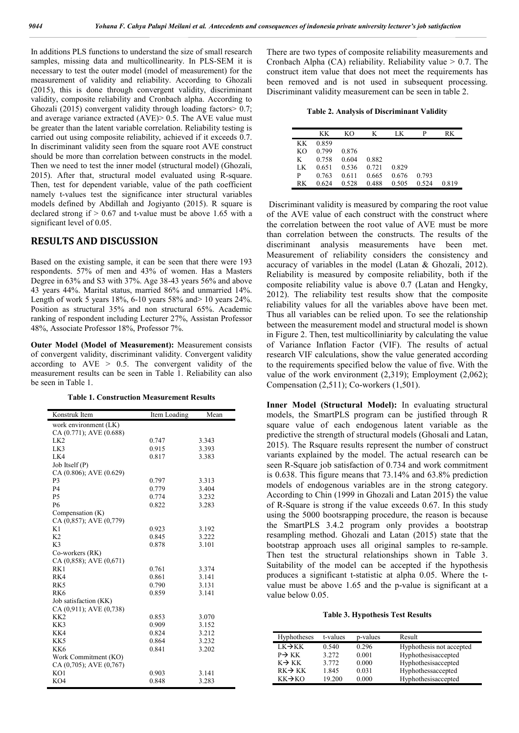In additions PLS functions to understand the size of small research samples, missing data and multicollinearity. In PLS-SEM it is necessary to test the outer model (model of measurement) for the measurement of validity and reliability. According to Ghozali (2015), this is done through convergent validity, discriminant validity, composite reliability and Cronbach alpha. According to Ghozali (2015) convergent validity through loading factors> 0.7; and average variance extracted (AVE)> 0.5. The AVE value must be greater than the latent variable correlation. Reliability testing is carried out using composite reliability, achieved if it exceeds 0.7. In discriminant validity seen from the square root AVE construct should be more than correlation between constructs in the model. Then we need to test the inner model (structural model) (Ghozali, 2015). After that, structural model evaluated using R-square. Then, test for dependent variable, value of the path coefficient namely t-values test the significance inter structural variables models defined by Abdillah and Jogiyanto (2015). R square is declared strong if  $> 0.67$  and t-value must be above 1.65 with a significant level of 0.05.

### **RESULTS AND DISCUSSION**

Based on the existing sample, it can be seen that there were 193 respondents. 57% of men and 43% of women. Has a Masters Degree in 63% and S3 with 37%. Age 38-43 years 56% and above 43 years 44%. Marital status, married 86% and unmarried 14%. Length of work 5 years 18%, 6-10 years 58% and> 10 years 24%. Position as structural 35% and non structural 65%. Academic ranking of respondent including Lecturer 27%, Assistan Professor 48%, Associate Professor 18%, Professor 7%.

**Outer Model (Model of Measurement):** Measurement consists of convergent validity, discriminant validity. Convergent validity according to  $AVE > 0.5$ . The convergent validity of the measurement results can be seen in Table 1. Reliability can also be seen in Table 1.

**Table 1. Construction Measurement Results**

| Konstruk Item           | Item Loading | Mean  |
|-------------------------|--------------|-------|
| work environment (LK)   |              |       |
| CA (0.771); AVE (0.688) |              |       |
| LK <sub>2</sub>         | 0.747        | 3.343 |
| LK3                     | 0.915        | 3.393 |
| LK4                     | 0.817        | 3.383 |
| Job Itself (P)          |              |       |
| CA (0.806); AVE (0.629) |              |       |
| P <sub>3</sub>          | 0.797        | 3.313 |
| P <sub>4</sub>          | 0.779        | 3.404 |
| <b>P5</b>               | 0.774        | 3.232 |
| <b>P6</b>               | 0.822        | 3.283 |
| Compensation (K)        |              |       |
| CA (0,857); AVE (0,779) |              |       |
| K1                      | 0.923        | 3.192 |
| K <sub>2</sub>          | 0.845        | 3.222 |
| K <sub>3</sub>          | 0.878        | 3.101 |
| Co-workers (RK)         |              |       |
| CA (0,858); AVE (0,671) |              |       |
| RK1                     | 0.761        | 3.374 |
| RK4                     | 0.861        | 3.141 |
| RK <sub>5</sub>         | 0.790        | 3.131 |
| RK <sub>6</sub>         | 0.859        | 3.141 |
| Job satisfaction (KK)   |              |       |
| CA(0,911); AVE(0,738)   |              |       |
| KK <sub>2</sub>         | 0.853        | 3.070 |
| KK3                     | 0.909        | 3.152 |
| KK4                     | 0.824        | 3.212 |
| KK5                     | 0.864        | 3.232 |
| KK <sub>6</sub>         | 0.841        | 3.202 |
| Work Commitment (KO)    |              |       |
| CA (0,705); AVE (0,767) |              |       |
| KO1                     | 0.903        | 3.141 |
| KO4                     | 0.848        | 3.283 |

There are two types of composite reliability measurements and Cronbach Alpha (CA) reliability. Reliability value > 0.7. The construct item value that does not meet the requirements has been removed and is not used in subsequent processing. Discriminant validity measurement can be seen in table 2.

**Table 2. Analysis of Discriminant Validity**

|     | KΚ    | KΟ    | K     | ΙK    | P     | RK    |
|-----|-------|-------|-------|-------|-------|-------|
| KK  | 0.859 |       |       |       |       |       |
| KO. | 0.799 | 0.876 |       |       |       |       |
| K   | 0.758 | 0.604 | 0.882 |       |       |       |
| LΚ  | 0.651 | 0.536 | 0.721 | 0.829 |       |       |
| P   | 0.763 | 0.611 | 0.665 | 0.676 | 0.793 |       |
| RK  | 0.624 | 0.528 | 0.488 | 0.505 | 0.524 | 0.819 |

Discriminant validity is measured by comparing the root value of the AVE value of each construct with the construct where the correlation between the root value of AVE must be more than correlation between the constructs. The results of the discriminant analysis measurements have been met. Measurement of reliability considers the consistency and accuracy of variables in the model (Latan & Ghozali, 2012). Reliability is measured by composite reliability, both if the composite reliability value is above 0.7 (Latan and Hengky, 2012). The reliability test results show that the composite reliability values for all the variables above have been met. Thus all variables can be relied upon. To see the relationship between the measurement model and structural model is shown in Figure 2. Then, test multicolliniarity by calculating the value of Variance Inflation Factor (VIF). The results of actual research VIF calculations, show the value generated according to the requirements specified below the value of five. With the value of the work environment (2,319); Employment (2,062); Compensation (2,511); Co-workers (1,501).

**Inner Model (Structural Model):** In evaluating structural models, the SmartPLS program can be justified through R square value of each endogenous latent variable as the predictive the strength of structural models (Ghosali and Latan, 2015). The Rsquare results represent the number of construct variants explained by the model. The actual research can be seen R-Square job satisfaction of 0.734 and work commitment is 0.638. This figure means that 73.14% and 63.8% prediction models of endogenous variables are in the strong category. According to Chin (1999 in Ghozali and Latan 2015) the value of R-Square is strong if the value exceeds 0.67. In this study using the 5000 bootsrapping procedure, the reason is because the SmartPLS 3.4.2 program only provides a bootstrap resampling method. Ghozali and Latan (2015) state that the bootstrap approach uses all original samples to re-sample. Then test the structural relationships shown in Table 3. Suitability of the model can be accepted if the hypothesis produces a significant t-statistic at alpha 0.05. Where the tvalue must be above 1.65 and the p-value is significant at a value below 0.05.

**Table 3. Hypothesis Test Results**

| Hyphotheses         | t-values | p-values | Result                   |
|---------------------|----------|----------|--------------------------|
| $LK \rightarrow KK$ | 0.540    | 0.296    | Hyphothesis not accepted |
| $P \rightarrow KK$  | 3.272    | 0.001    | Hyphothesisaccepted      |
| $K \rightarrow K K$ | 3.772    | 0.000    | Hyphothesisaccepted      |
| $RK \rightarrow KK$ | 1.845    | 0.031    | Hyphothessaccepted       |
| $KK \rightarrow KO$ | 19.200   | 0.000    | Hyphothesisaccepted      |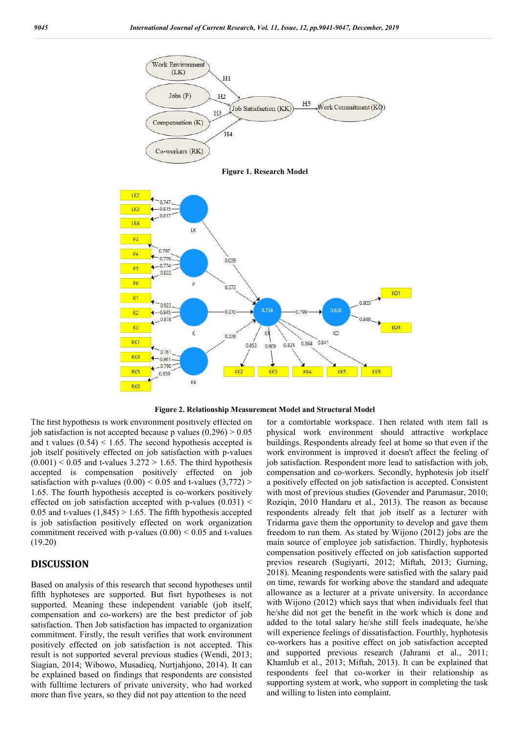

**Figure 1. Research Model**





The first hypothesis is work environment positively effected on job satisfaction is not accepted because p values  $(0.296) > 0.05$ and t values  $(0.54)$  < 1.65. The second hypothesis accepted is job itself positively effected on job satisfaction with p-values  $(0.001)$  < 0.05 and t-values 3.272 > 1.65. The third hypothesis accepted is compensation positively effected on job satisfaction with p-values  $(0.00)$  < 0.05 and t-values  $(3,772)$  > 1.65. The fourth hypothesis accepted is co-workers positively effected on job satisfaction accepted with p-values  $(0.031)$  < 0.05 and t-values  $(1,845) > 1.65$ . The fifth hypothesis accepted is job satisfaction positively effected on work organization commitment received with p-values  $(0.00) < 0.05$  and t-values (19.20)

### **DISCUSSION**

Based on analysis of this research that second hypotheses until fifth hyphoteses are supported. But fisrt hypotheses is not supported. Meaning these independent variable (job itself, compensation and co-workers) are the best predictor of job satisfaction. Then Job satisfaction has impacted to organization commitment. Firstly, the result verifies that work environment positively effected on job satisfaction is not accepted. This result is not supported several previous studies (Wendi, 2013; Siagian, 2014; Wibowo, Musadieq, Nurtjahjono, 2014). It can be explained based on findings that respondents are consisted with fulltime lecturers of private university, who had worked more than five years, so they did not pay attention to the need

for a comfortable workspace. Then related with item fall is physical work environment should attractive workplace buildings. Respondents already feel at home so that even if the work environment is improved it doesn't affect the feeling of job satisfaction. Respondent more lead to satisfaction with job, compensation and co-workers. Secondly, hyphotesis job itself a positively effected on job satisfaction is accepted. Consistent with most of previous studies (Govender and Parumasur, 2010; Roziqin, 2010 Handaru et al., 2013). The reason as because respondents already felt that job itself as a lecturer with Tridarma gave them the opportunity to develop and gave them freedom to run them. As stated by Wijono (2012) jobs are the main source of employee job satisfaction. Thirdly, hyphotesis compensation positively effected on job satisfaction supported previos research (Sugiyarti, 2012; Miftah, 2013; Gurning, 2018). Meaning respondents were satisfied with the salary paid on time, rewards for working above the standard and adequate allowance as a lecturer at a private university. In accordance with Wijono (2012) which says that when individuals feel that he/she did not get the benefit in the work which is done and added to the total salary he/she still feels inadequate, he/she will experience feelings of dissatisfaction. Fourthly, hyphotesis co-workers has a positive effect on job satisfaction accepted and supported previous research (Jahrami et al., 2011; Khamlub et al., 2013; Miftah, 2013). It can be explained that respondents feel that co-worker in their relationship as supporting system at work, who support in completing the task and willing to listen into complaint.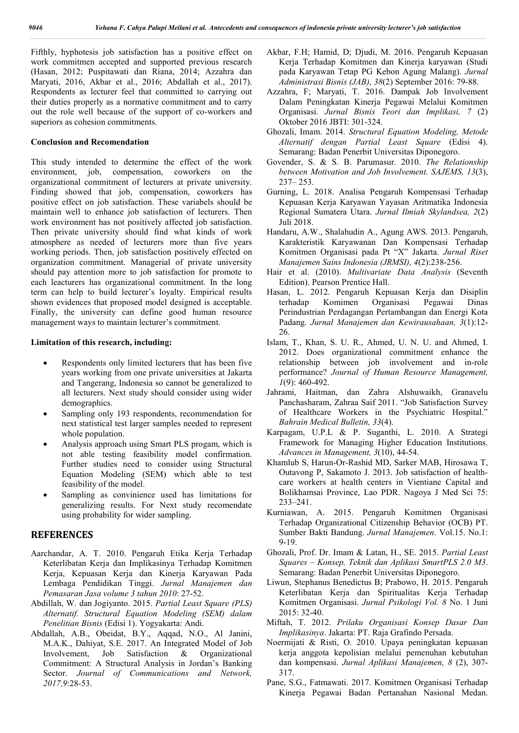Fifthly, hyphotesis job satisfaction has a positive effect on work commitmen accepted and supported previous research (Hasan, 2012; Puspitawati dan Riana, 2014; Azzahra dan Maryati, 2016, Akbar et al., 2016; Abdallah et al., 2017). Respondents as lecturer feel that committed to carrying out their duties properly as a normative commitment and to carry out the role well because of the support of co-workers and superiors as cohesion commitments.

#### **Conclusion and Recomendation**

This study intended to determine the effect of the work environment, job, compensation, coworkers on the organizational commitment of lecturers at private university. Finding showed that job, compensation, coworkers has positive effect on job satisfaction. These variabels should be maintain well to enhance job satisfaction of lecturers. Then work environment has not positively affected job satisfaction. Then private university should find what kinds of work atmosphere as needed of lecturers more than five years working periods. Then, job satisfaction positively effected on organization commitment. Managerial of private university should pay attention more to job satisfaction for promote to each leacturers has organizational commitment. In the long term can help to build lecturer's loyalty. Empirical results shown evidences that proposed model designed is acceptable. Finally, the university can define good human resource management ways to maintain lecturer's commitment.

#### **Limitation of this research, including:**

- Respondents only limited lecturers that has been five years working from one private universities at Jakarta and Tangerang, Indonesia so cannot be generalized to all lecturers. Next study should consider using wider demographics.
- Sampling only 193 respondents, recommendation for next statistical test larger samples needed to represent whole population.
- Analysis approach using Smart PLS progam, which is not able testing feasibility model confirmation. Further studies need to consider using Structural Equation Modeling (SEM) which able to test feasibility of the model.
- Sampling as convinience used has limitations for generalizing results. For Next study recomendate using probability for wider sampling.

#### **REFERENCES**

- Aarchandar, A. T. 2010. Pengaruh Etika Kerja Terhadap Keterlibatan Kerja dan Implikasinya Terhadap Komitmen Kerja, Kepuasan Kerja dan Kinerja Karyawan Pada Lembaga Pendidikan Tinggi. *Jurnal Manajemen dan Pemasaran Jasa volume 3 tahun 2010*: 27-52.
- Abdillah, W. dan Jogiyanto. 2015. *Partial Least Square (PLS) Alternatif. Structural Equation Modeling (SEM) dalam Penelitian Bisnis* (Edisi 1). Yogyakarta: Andi.
- Abdallah, A.B., Obeidat, B.Y., Aqqad, N.O., Al Janini, M.A.K., Dahiyat, S.E. 2017. An Integrated Model of Job Involvement, Job Satisfaction & Organizational Commitment: A Structural Analysis in Jordan's Banking Sector. *Journal of Communications and Network, 2017,9*:28-53.
- Akbar, F.H; Hamid, D; Djudi, M. 2016. Pengaruh Kepuasan Kerja Terhadap Komitmen dan Kinerja karyawan (Studi pada Karyawan Tetap PG Kebon Agung Malang). *Jurnal Administrasi Bisnis (JAB), 38*(2) September 2016: 79-88.
- Azzahra, F; Maryati, T. 2016. Dampak Job Involvement Dalam Peningkatan Kinerja Pegawai Melalui Komitmen Organisasi. *Jurnal Bisnis Teori dan Implikasi, 7* (2) Oktober 2016 JBTI: 301-324.
- Ghozali, Imam. 2014. *Structural Equation Modeling, Metode Alternatif dengan Partial Least Square* (Edisi 4). Semarang: Badan Penerbit Universitas Diponegoro.
- Govender, S. & S. B. Parumasur. 2010. *The Relationship between Motivation and Job Involvement. SAJEMS, 13*(3), 237– 253.
- Gurning, L. 2018. Analisa Pengaruh Kompensasi Terhadap Kepuasan Kerja Karyawan Yayasan Aritmatika Indonesia Regional Sumatera Utara. *Jurnal Ilmiah Skylandsea, 2*(2) Juli 2018.
- Handaru, A.W., Shalahudin A., Agung AWS. 2013. Pengaruh, Karakteristik Karyawanan Dan Kompensasi Terhadap Komitmen Organisasi pada Pt "X" Jakarta. *Jurnal Riset Manajemen Sains Indonesia (JRMSI), 4*(2):238-256.
- Hair et al. (2010). *Multivariate Data Analysis* (Seventh Edition). Pearson Prentice Hall.
- Hasan, L. 2012. Pengaruh Kepuasan Kerja dan Disiplin terhadap Komimen Organisasi Pegawai Dinas Perindustrian Perdagangan Pertambangan dan Energi Kota Padang. *Jurnal Manajemen dan Kewirausahaan, 3*(1):12- 26.
- Islam, T., Khan, S. U. R., Ahmed, U. N. U. and Ahmed, I. 2012. Does organizational commitment enhance the relationship between job involvement and in-role performance? *Journal of Human Resource Management, 1*(9): 460-492.
- Jahrami, Haitman, dan Zahra Alshuwaikh, Granavelu Panchasharam, Zahraa Saif 2011. "Job Satisfaction Survey of Healthcare Workers in the Psychiatric Hospital." *Bahrain Medical Bulletin, 33*(4).
- Karpagam, U.P.L & P. Suganthi, L. 2010. A Strategi Framework for Managing Higher Education Institutions. *Advances in Management, 3*(10), 44-54.
- Khamlub S, Harun-Or-Rashid MD, Sarker MAB, Hirosawa T, Outavong P, Sakamoto J. 2013. Job satisfaction of healthcare workers at health centers in Vientiane Capital and Bolikhamsai Province, Lao PDR. Nagoya J Med Sci 75: 233–241.
- Kurniawan, A. 2015. Pengaruh Komitmen Organisasi Terhadap Organizational Citizenship Behavior (OCB) PT. Sumber Bakti Bandung. *Jurnal Manajemen*. Vol.15. No.1: 9-19.
- Ghozali, Prof. Dr. Imam & Latan, H., SE. 2015. *Partial Least Squares – Konsep, Teknik dan Aplikasi SmartPLS 2.0 M3*. Semarang: Badan Penerbit Universitas Diponegoro.
- Liwun, Stephanus Benedictus B; Prabowo, H. 2015. Pengaruh Keterlibatan Kerja dan Spiritualitas Kerja Terhadap Komitmen Organisasi. *Jurnal Psikologi Vol. 8* No. 1 Juni 2015: 32-40.
- Miftah, T. 2012. *Prilaku Organisasi Konsep Dasar Dan Implikasinya*. Jakarta: PT. Raja Grafindo Persada.
- Noermijati & Risti, O. 2010. Upaya peningkatan kepuasan kerja anggota kepolisian melalui pemenuhan kebutuhan dan kompensasi. *Jurnal Aplikasi Manajemen, 8* (2), 307- 317.
- Pane, S.G., Fatmawati. 2017. Komitmen Organisasi Terhadap Kinerja Pegawai Badan Pertanahan Nasional Medan.